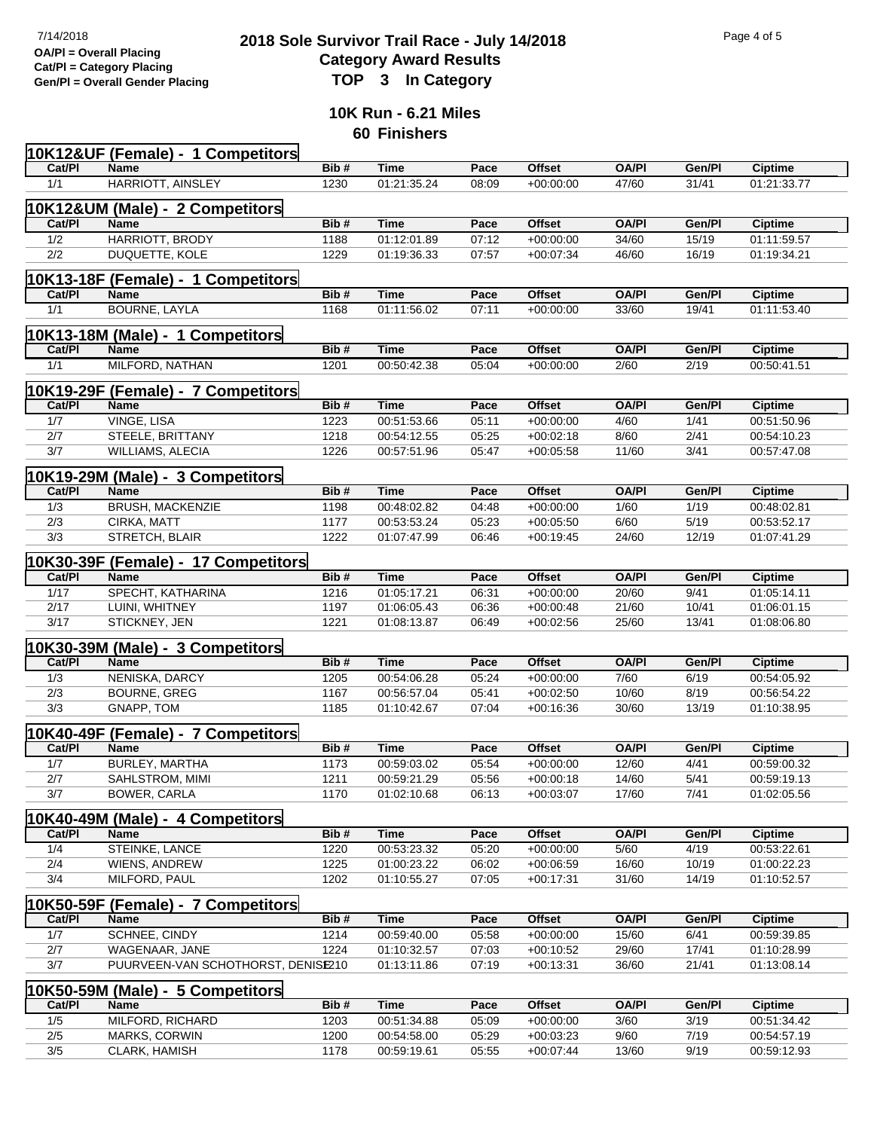## **2018 Sole Survivor Trail Race - July 14/2018** Page 4 of 5<br> **2018 Sole Survivor Trail Race - July 14/2018 Category Award Results Gen/Pl = Overall Gender Placing TOP 3 In Category**

**10K Run - 6.21 Miles 60 Finishers**

|        | 10K12&UF (Female) - 1 Competitors   |      |             |       |               |              |        |                |
|--------|-------------------------------------|------|-------------|-------|---------------|--------------|--------|----------------|
| Cat/PI | <b>Name</b>                         | Bib# | Time        | Pace  | <b>Offset</b> | <b>OA/PI</b> | Gen/Pl | <b>Ciptime</b> |
| 1/1    | HARRIOTT, AINSLEY                   | 1230 | 01:21:35.24 | 08:09 | $+00:00:00$   | 47/60        | 31/41  | 01:21:33.77    |
|        |                                     |      |             |       |               |              |        |                |
|        | 10K12&UM (Male) - 2 Competitors     |      |             |       |               |              |        |                |
| Cat/PI | <b>Name</b>                         | Bib# | <b>Time</b> | Pace  | <b>Offset</b> | <b>OA/PI</b> | Gen/Pl | <b>Ciptime</b> |
| 1/2    | HARRIOTT, BRODY                     | 1188 | 01:12:01.89 | 07:12 | $+00:00:00$   | 34/60        | 15/19  | 01:11:59.57    |
| 2/2    | DUQUETTE, KOLE                      | 1229 | 01:19:36.33 | 07:57 | $+00:07:34$   | 46/60        | 16/19  | 01:19:34.21    |
|        | 10K13-18F (Female) - 1 Competitors  |      |             |       |               |              |        |                |
| Cat/PI | <b>Name</b>                         | Bib# | <b>Time</b> | Pace  | <b>Offset</b> | <b>OA/PI</b> | Gen/Pl | <b>Ciptime</b> |
| 1/1    | <b>BOURNE, LAYLA</b>                | 1168 | 01:11:56.02 | 07:11 | $+00:00:00$   | 33/60        | 19/41  | 01:11:53.40    |
|        | 10K13-18M (Male) - 1 Competitors    |      |             |       |               |              |        |                |
| Cat/PI | <b>Name</b>                         | Bib# | Time        | Pace  | <b>Offset</b> | <b>OA/PI</b> | Gen/Pl | <b>Ciptime</b> |
| 1/1    | MILFORD, NATHAN                     | 1201 | 00:50:42.38 | 05:04 | $+00:00:00$   | 2/60         | 2/19   | 00:50:41.51    |
|        |                                     |      |             |       |               |              |        |                |
|        | 10K19-29F (Female) - 7 Competitors  |      |             |       |               |              |        |                |
| Cat/PI | Name                                | Bib# | <b>Time</b> | Pace  | <b>Offset</b> | <b>OA/PI</b> | Gen/Pl | <b>Ciptime</b> |
| 1/7    | VINGE, LISA                         | 1223 | 00:51:53.66 | 05:11 | $+00:00:00$   | 4/60         | 1/41   | 00:51:50.96    |
| 2/7    | STEELE, BRITTANY                    | 1218 | 00:54:12.55 | 05:25 | $+00:02:18$   | 8/60         | 2/41   | 00:54:10.23    |
| 3/7    | <b>WILLIAMS, ALECIA</b>             | 1226 | 00:57:51.96 | 05:47 | $+00:05:58$   | 11/60        | 3/41   | 00:57:47.08    |
|        | 10K19-29M (Male) - 3 Competitors    |      |             |       |               |              |        |                |
| Cat/PI | Name                                | Bib# | <b>Time</b> | Pace  | <b>Offset</b> | <b>OA/PI</b> | Gen/Pl | <b>Ciptime</b> |
| 1/3    | BRUSH, MACKENZIE                    | 1198 | 00:48:02.82 | 04:48 | $+00.00.00$   | 1/60         | 1/19   | 00:48:02.81    |
| 2/3    | CIRKA, MATT                         | 1177 | 00:53:53.24 | 05:23 | $+00:05:50$   | 6/60         | 5/19   | 00:53:52.17    |
| 3/3    | STRETCH, BLAIR                      | 1222 | 01:07:47.99 | 06:46 | $+00:19:45$   | 24/60        | 12/19  | 01:07:41.29    |
|        |                                     |      |             |       |               |              |        |                |
|        | 10K30-39F (Female) - 17 Competitors |      |             |       |               |              |        |                |
| Cat/PI | Name                                | Bib# | <b>Time</b> | Pace  | <b>Offset</b> | <b>OA/PI</b> | Gen/Pl | <b>Ciptime</b> |
| 1/17   | SPECHT, KATHARINA                   | 1216 | 01:05:17.21 | 06:31 | $+00.00.00$   | 20/60        | 9/41   | 01:05:14.11    |
| 2/17   | LUINI, WHITNEY                      | 1197 | 01:06:05.43 | 06:36 | $+00:00:48$   | 21/60        | 10/41  | 01:06:01.15    |
| 3/17   | STICKNEY, JEN                       | 1221 | 01:08:13.87 | 06:49 | $+00:02:56$   | 25/60        | 13/41  | 01:08:06.80    |
|        | 10K30-39M (Male) - 3 Competitors    |      |             |       |               |              |        |                |
| Cat/PI | Name                                | Bib# | <b>Time</b> | Pace  | <b>Offset</b> | <b>OA/PI</b> | Gen/Pl | Ciptime        |
| 1/3    | NENISKA, DARCY                      | 1205 | 00:54:06.28 | 05:24 | $+00.00.00$   | 7/60         | 6/19   | 00:54:05.92    |
| 2/3    | <b>BOURNE, GREG</b>                 | 1167 | 00:56:57.04 | 05:41 | $+00:02:50$   | 10/60        | 8/19   | 00:56:54.22    |
| 3/3    | GNAPP, TOM                          | 1185 | 01:10:42.67 | 07:04 | $+00:16:36$   | 30/60        | 13/19  | 01:10:38.95    |
|        |                                     |      |             |       |               |              |        |                |
|        | 10K40-49F (Female) - 7 Competitors  |      |             |       |               |              |        |                |
| Cat/Pl | Name                                | Bib# | <b>Time</b> | Pace  | Offset        | <b>OA/PI</b> | Gen/Pl | <b>Ciptime</b> |
| 1/7    | <b>BURLEY, MARTHA</b>               | 1173 | 00:59:03.02 | 05:54 | $+00.00.00$   | 12/60        | 4/41   | 00:59:00.32    |
| 2/7    | SAHLSTROM, MIMI                     | 1211 | 00:59:21.29 | 05:56 | $+00.00.18$   | 14/60        | 5/41   | 00:59:19.13    |
| 3/7    | BOWER, CARLA                        | 1170 | 01:02:10.68 | 06:13 | $+00.03.07$   | 17/60        | 7/41   | 01:02:05.56    |
|        | 10K40-49M (Male) - 4 Competitors    |      |             |       |               |              |        |                |
| Cat/Pl | Name                                | Bib# | <b>Time</b> | Pace  | Offset        | <b>OA/PI</b> | Gen/Pl | <b>Ciptime</b> |
| 1/4    | STEINKE, LANCE                      | 1220 | 00:53:23.32 | 05:20 | $+00:00:00$   | 5/60         | 4/19   | 00:53:22.61    |
| 2/4    | WIENS, ANDREW                       | 1225 | 01:00:23.22 | 06:02 | $+00:06:59$   | 16/60        | 10/19  | 01:00:22.23    |
| 3/4    | MILFORD, PAUL                       | 1202 | 01:10:55.27 | 07:05 | $+00:17:31$   | 31/60        | 14/19  | 01:10:52.57    |
|        |                                     |      |             |       |               |              |        |                |
|        | 10K50-59F (Female) - 7 Competitors  |      |             |       |               |              |        |                |
| Cat/PI | Name                                | Bib# | <b>Time</b> | Pace  | Offset        | <b>OA/PI</b> | Gen/Pl | <b>Ciptime</b> |
| 1/7    | <b>SCHNEE, CINDY</b>                | 1214 | 00:59:40.00 | 05:58 | $+00:00:00$   | 15/60        | 6/41   | 00:59:39.85    |
| 2/7    | WAGENAAR, JANE                      | 1224 | 01:10:32.57 | 07:03 | $+00:10:52$   | 29/60        | 17/41  | 01:10:28.99    |
| 3/7    | PUURVEEN-VAN SCHOTHORST, DENISIE210 |      | 01:13:11.86 | 07:19 | $+00:13:31$   | 36/60        | 21/41  | 01:13:08.14    |
|        | 10K50-59M (Male) - 5 Competitors    |      |             |       |               |              |        |                |
| Cat/PI | Name                                | Bib# | <b>Time</b> | Pace  | Offset        | <b>OA/PI</b> | Gen/Pl | <b>Ciptime</b> |
| 1/5    | MILFORD, RICHARD                    | 1203 | 00:51:34.88 | 05:09 | $+00:00:00$   | 3/60         | 3/19   | 00:51:34.42    |
| $2/5$  | <b>MARKS, CORWIN</b>                | 1200 | 00:54:58.00 | 05:29 | $+00:03:23$   | 9/60         | 7/19   | 00:54:57.19    |

3/5 CLARK, HAMISH 1178 00:59:19.61 05:55 +00:07:44 13/60 9/19 00:59:12.93